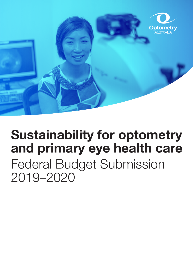

# **Sustainability for optometry and primary eye health care** Federal Budget Submission 2019–2020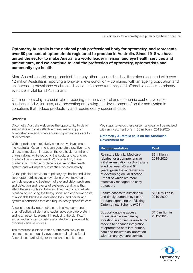**Optometry Australia is the national peak professional body for optometry, and represents over 80 per cent of optometrists registered to practice in Australia. Since 1918 we have united the sector to make Australia a world leader in vision and eye health services and patient care, and we continue to lead the profession of optometry, optometrists and community eye health.**

More Australians visit an optometrist than any other non-medical health professional; and with over 12 million Australians reporting a long-term eye condition – combined with an ageing population and an increasing prevalence of chronic disease – the need for timely and affordable access to primary eye care is vital for all Australians.

Our members play a crucial role in reducing the heavy social and economic cost of avoidable blindness and vision loss, and preventing or slowing the development of ocular and systemic conditions that reduce productivity and require costly specialist care.

### **Overview**

Optometry Australia welcomes the opportunity to detail sustainable and cost-effective measures to support comprehensive and timely access to primary eye care for all Australians.

With a prudent and relatively conservative investment, the Australian Government can generate a positive - and almost immediate - impact on the eye health of millions of Australians, while reducing the social and economic burden of vision impairment. Without action, these burdens will continue to place pressure on the health system and will impact substantially on productivity.

As the principal providers of primary eye health and vision care, optometrists play a key role in preventative care, early detection and treatment of eye and vision problems, and detection and referral of systemic conditions that affect the eye such as diabetes. The role of optometrists is critical to reducing the heavy social and economic costs of avoidable blindness and vision loss, and ocular and systemic conditions that can require costly specialist care.

Access to quality optometric care is a key component of an effective, efficient and sustainable eye care system and is an essential element in reducing the significant social and economic costs associated with preventable blindness and vision loss.

The measures outlined in this submission are vital to ensure access to quality eye care is maintained for all Australians, particularly for those who need it most.

Key steps towards these essential goals will be realised with an investment of \$11.56 million in 2019-2020.

### **Optometry Australia calls on the Australian Government to:**

| <b>Recommendation</b>                                                                                                                                                                                                                                                    | Cost                           |
|--------------------------------------------------------------------------------------------------------------------------------------------------------------------------------------------------------------------------------------------------------------------------|--------------------------------|
| Reinstate biennial Medicare<br>rebates for a comprehensive<br>initial examination for Australians<br>aged between 45 and 64<br>years, given the increased risk<br>of developing ocular disease<br>- most of which are more<br>effectively managed on early<br>detection. | \$9 million in<br>2019-2020    |
| Ensure access to sustainable<br>and timely outreach eye care<br>through expanding the Visiting<br>Optometrists Scheme (VOS).                                                                                                                                             | \$1.06 million in<br>2019-2020 |
| Support ongoing access<br>to sustainable eye care by<br>investing in applied research into<br>models to enhance integration<br>of optometric care into primary<br>care and facilitate collaboration<br>with tertiary eye care services.                                  | \$1.5 million in<br>2019-2020  |

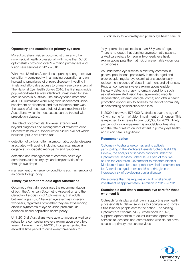### **Optometry and sustainable primary eye care**

More Australians visit an optometrist than any other non-medical health professional, with more than 5,400 optometrists providing over 9.4 million primary eye and vision care services in 2017-2018.

With over 12 million Australians reporting a long-term eye condition – combined with an ageing population and an increasing prevalence of chronic disease – investing in timely and affordable access to primary eye care is crucial. The National Eye Health Survey 2016, the first nationwide population-based survey, identified unmet need for eye care services in Australia. The survey found more than 450,000 Australians were living with uncorrected vision impairment or blindness, and that refractive error was the cause of almost two thirds of vision impairment for Australians, which in most cases, can be treated with prescription glasses.

The role of optometrists, however, extends well beyond diagnosis and management of refractive error. Optometrists have a sophisticated clinical skill set which includes, (but is not limited to):

- detection of various, often asymptomatic, ocular diseases associated with ageing including cataracts, macular degeneration, diabetic retinopathy and glaucoma
- detection and management of common acute eye complaints such as dry eye and conjunctivitis, often through eye drops
- management of emergency conditions such as removal of an ocular foreign body.

#### **Timely eye care for middle-aged Australians**

Optometry Australia recognises the recommendation of both the American Optometric Association and the Canadian Association of Optometrists, that adults between ages 45-64 have an eye examination every two years, regardless of whether they are experiencing obvious symptoms of eye or vision problems, as evidence-based population health policy.

Until 2015 all Australians were able to access a Medicare rebate for a comprehensive eye examination every two years. However, the 2014-2015 Budget extended the allowable time period to once every three years for

'asymptomatic' patients less than 65 years-of-age. There is no doubt that denying asymptomatic patients a Medicare rebate for regular two-yearly eye health examinations puts them at risk of preventable vision loss or blindness.

As undetected eye disease is relatively common in general populations, particularly in middle-aged and older people, regular eye examinations substantially reduce the incidence of visual impairment and blindness. Regular, comprehensive eye examinations enable the early detection of asymptomatic conditions such as diabetes-related vision loss, age-related macular degeneration, cataract and glaucoma; and offer a health promotion opportunity to address the lack of community understanding of insidious vision loss.

In 2009 there were 575,000 Australians over the age of 45 with some form of vision impairment or blindness. This is expected to increase to over 800,000 by 2020. Ninety per cent of vision impairment is avoidable or treatable and the rate of return on investment in primary eye health and vision care is significant.

#### **Recommendation**

Optometry Australia welcomes and is actively participating in the Medicare Benefits Schedule (MBS) Review, the analysis of services provided under the Optometrical Services Schedule. As part of this, we call on the Australian Government to reinstate biennial Medicare rebates for a comprehensive initial examination for Australians aged between 45 and 64, given the increased risk of developing ocular disease.

We estimate that this requires an additional annual investment of approximately \$9 million in 2019-2020\*.

#### **Sustainable and timely outreach eye care for those who need it**

Outreach funds play a vital role in supporting eye health professionals to deliver services to Aboriginal and Torres Strait Islander people across the nation. The Visiting Optometrists Scheme (VOS), established in 1975, supports optometrists to deliver outreach optometric services to locations and communities who do not have access to primary eye care services.

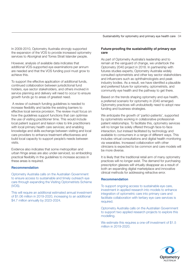Sustainability for optometry and primary eye health care 04

In 2009-2010, Optometry Australia strongly supported the expansion of the VOS to provide increased optometry services to Aboriginal and Torres Strait Islander people.

However, analysis of available data indicates that additional VOS-supported eye examinations per annum are needed and that the VOS funding pool must grow to achieve this.

To support the effective application of additional funds, continued collaboration between jurisdictional fund holders, eye sector stakeholders, and others involved in service planning and delivery will need to occur to ensure growth funds go to areas of greatest need.

 A review of outreach funding guidelines is needed to increase flexibility and tackle the existing barriers to effective local service provision. The review must focus on how the guidelines support functions that can optimise the use of visiting practitioner time. This would include local patient support and liaison roles to link practitioners with local primary health care services; and enabling knowledge and skills exchange between visiting and local care providers to enhance treatment effectiveness and build local capacity to support people's needs between visits.

Evidence also indicates that some metropolitan and urban fringe areas are also under-serviced, so embedding practical flexibility in the guidelines to increase access in these areas is required.

#### **Recommendation**

Optometry Australia calls on the Australian Government to ensure access to sustainable and timely outreach eye care through expanding the Visiting Optometrists Scheme (VOS).

This will require an additional estimated annual investment of \$1.06 million in 2019-2020, increasing to an additional \$4.7 million annually by 2023-2024.

### **Future-proofing the sustainability of primary eye care**

As part of Optometry Australia's leadership and to remain at the vanguard of change, we undertook the Optometry 2040 project in 2018. In partnership with futures studies experts, Optometry Australia widely consulted optometrists and other key sector stakeholders and influencers such as ophthalmologists and peak industry bodies. As a result, we have identifed a plausible and preferred future for optometry, optometrists, and community eye health and the pathway to get there.

Based on the trends shaping optometry and eye health, a preferred scenario for optometry in 2040 emerged. Optometry practices will undoubtedly need to adopt new funding and business strategies.

We anticipate the growth of 'partici-patients', supported by optometrists working in collaborative professionalpatient relationships. To facilitate this, optometry services will no longer be solely offered through face-to-face interaction, but instead facilitated by technology and available to consumers in a range of different ways. This includes virtual consultations and digital health monitoring via wearables. Increased collaboration with other clinicians is expected to be common and care models will be more diverse.

It is likely that the traditional retail arm of many optometry practices will no longer exist. The demand for purchasing prescription glasses will virtually disappear as a result of both an expanding digital marketplace and innovative clinical methods for addressing refractive error.

#### **Recommendation**

To support ongoing access to sustainable eye care, investment in applied research into models to enhance integration of optometric care into primary care and facilitate collaboration with tertiary eye care services is required.

Optometry Australia calls on the Australian Government to support two applied research projects to explore this modelling.

We estimate this requires a one-off investment of \$1.5 million in 2019-2020.